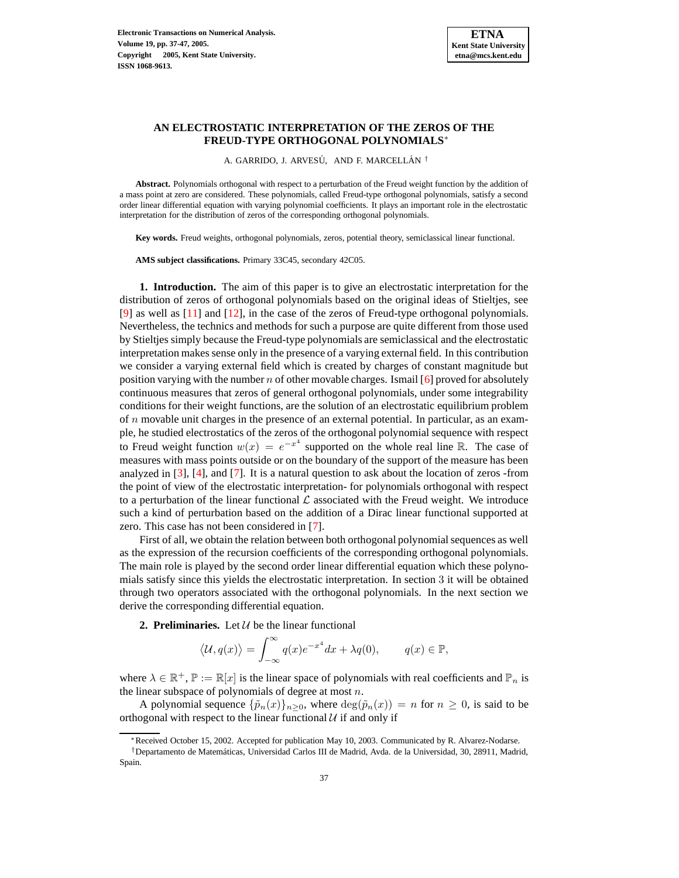

## **AN ELECTROSTATIC INTERPRETATION OF THE ZEROS OF THE FREUD-TYPE ORTHOGONAL POLYNOMIALS**<sup>∗</sup>

A. GARRIDO, J. ARVESÚ, AND F. MARCELLÁN<sup>†</sup>

**Abstract.** Polynomials orthogonal with respect to a perturbation of the Freud weight function by the addition of a mass point at zero are considered. These polynomials, called Freud-type orthogonal polynomials, satisfy a second order linear differential equation with varying polynomial coefficients. It plays an important role in the electrostatic interpretation for the distribution of zeros of the corresponding orthogonal polynomials.

**Key words.** Freud weights, orthogonal polynomials, zeros, potential theory, semiclassical linear functional.

**AMS subject classifications.** Primary 33C45, secondary 42C05.

**1. Introduction.** The aim of this paper is to give an electrostatic interpretation for the distribution of zeros of orthogonal polynomials based on the original ideas of Stieltjes, see [\[9\]](#page-10-0) as well as  $[11]$  and  $[12]$ , in the case of the zeros of Freud-type orthogonal polynomials. Nevertheless, the technics and methods for such a purpose are quite different from those used by Stieltjes simply because the Freud-type polynomials are semiclassical and the electrostatic interpretation makes sense only in the presence of a varying external field. In this contribution we consider a varying external field which is created by charges of constant magnitude but position varying with the number n of other movable charges. Ismail [\[6\]](#page-10-3) proved for absolutely continuous measures that zeros of general orthogonal polynomials, under some integrability conditions for their weight functions, are the solution of an electrostatic equilibrium problem of  $n$  movable unit charges in the presence of an external potential. In particular, as an example, he studied electrostatics of the zeros of the orthogonal polynomial sequence with respect to Freud weight function  $w(x) = e^{-x^4}$  supported on the whole real line R. The case of measures with mass points outside or on the boundary of the support of the measure has been analyzed in [\[3\]](#page-10-4), [\[4\]](#page-10-5), and [\[7\]](#page-10-6). It is a natural question to ask about the location of zeros -from the point of view of the electrostatic interpretation- for polynomials orthogonal with respect to a perturbation of the linear functional  $\mathcal L$  associated with the Freud weight. We introduce such a kind of perturbation based on the addition of a Dirac linear functional supported at zero. This case has not been considered in [\[7\]](#page-10-6).

First of all, we obtain the relation between both orthogonal polynomialsequences as well as the expression of the recursion coefficients of the corresponding orthogonal polynomials. The main role is played by the second order linear differential equation which these polynomials satisfy since this yields the electrostatic interpretation. In section 3 it will be obtained through two operators associated with the orthogonal polynomials. In the next section we derive the corresponding differential equation.

**2. Preliminaries.** Let  $U$  be the linear functional

$$
\langle U, q(x) \rangle = \int_{-\infty}^{\infty} q(x)e^{-x^4} dx + \lambda q(0), \qquad q(x) \in \mathbb{P},
$$

where  $\lambda \in \mathbb{R}^+, \mathbb{P} := \mathbb{R}[x]$  is the linear space of polynomials with real coefficients and  $\mathbb{P}_n$  is the linear subspace of polynomials of degree at most  $n$ .

A polynomial sequence  $\{\tilde{p}_n(x)\}_{n\geq 0}$ , where  $\deg(\tilde{p}_n(x)) = n$  for  $n \geq 0$ , is said to be orthogonal with respect to the linear functional  $U$  if and only if

<sup>∗</sup>Received October 15, 2002. Accepted for publication May 10, 2003. Communicated by R. Alvarez-Nodarse.

<sup>&</sup>lt;sup>†</sup>Departamento de Matemáticas, Universidad Carlos III de Madrid, Avda. de la Universidad, 30, 28911, Madrid, Spain.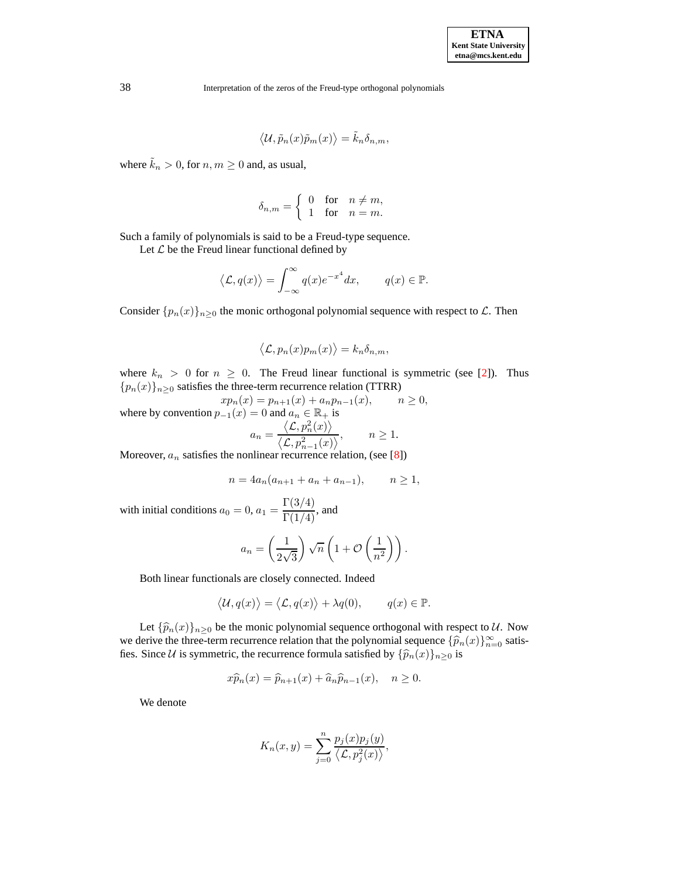$$
\langle \mathcal{U}, \tilde{p}_n(x)\tilde{p}_m(x) \rangle = \tilde{k}_n \delta_{n,m},
$$

where  $\tilde{k}_n > 0$ , for  $n, m \ge 0$  and, as usual,

$$
\delta_{n,m} = \begin{cases} 0 & \text{for} \quad n \neq m, \\ 1 & \text{for} \quad n = m. \end{cases}
$$

Such a family of polynomials is said to be a Freud-type sequence.

Let  $\mathcal L$  be the Freud linear functional defined by

$$
\langle \mathcal{L}, q(x) \rangle = \int_{-\infty}^{\infty} q(x) e^{-x^4} dx, \qquad q(x) \in \mathbb{P}.
$$

Consider  $\{p_n(x)\}_{n\geq 0}$  the monic orthogonal polynomial sequence with respect to  $\mathcal{L}$ . Then

$$
\langle \mathcal{L}, p_n(x)p_m(x) \rangle = k_n \delta_{n,m},
$$

where  $k_n > 0$  for  $n \geq 0$ . The Freud linear functional is symmetric (see [\[2\]](#page-10-7)). Thus  ${p_n(x)}_{n\geq0}$  satisfies the three-term recurrence relation (TTRR)

$$
xp_n(x) = p_{n+1}(x) + a_n p_{n-1}(x), \qquad n \ge 0,
$$
  
where by convention  $p_{-1}(x) = 0$  and  $a_n \in \mathbb{R}_+$  is  

$$
a_n = \frac{\langle \mathcal{L}, p_n^2(x) \rangle}{\langle \mathcal{L}, p_{n-1}^2(x) \rangle}, \qquad n \ge 1.
$$
  
Moreover,  $a_n$  satisfies the nonlinear recurrence relation, (see [8])

$$
n = 4a_n(a_{n+1} + a_n + a_{n-1}), \qquad n \ge 1,
$$

with initial conditions  $a_0 = 0$ ,  $a_1 = \frac{\Gamma(3/4)}{\Gamma(1/4)}$ , and

$$
a_n = \left(\frac{1}{2\sqrt{3}}\right)\sqrt{n}\left(1 + \mathcal{O}\left(\frac{1}{n^2}\right)\right).
$$

Both linear functionals are closely connected. Indeed

$$
\langle \mathcal{U}, q(x) \rangle = \langle \mathcal{L}, q(x) \rangle + \lambda q(0), \qquad q(x) \in \mathbb{P}.
$$

Let  $\{\widehat{p}_n(x)\}_{n>0}$  be the monic polynomial sequence orthogonal with respect to U. Now we derive the three-term recurrence relation that the polynomial sequence  $\{\widehat{p}_n(x)\}_{n=0}^\infty$  satis-<br>for Since *U* is supporting the non-manage formula satisfied by  $(\widehat{\kappa}(n))$  is fies. Since U is symmetric, the recurrence formula satisfied by  $\{\widehat{p}_n(x)\}_{n\geq 0}$  is

$$
x\widehat{p}_n(x) = \widehat{p}_{n+1}(x) + \widehat{a}_n \widehat{p}_{n-1}(x), \quad n \ge 0.
$$

We denote

$$
K_n(x,y) = \sum_{j=0}^n \frac{p_j(x)p_j(y)}{\langle \mathcal{L}, p_j^2(x) \rangle},
$$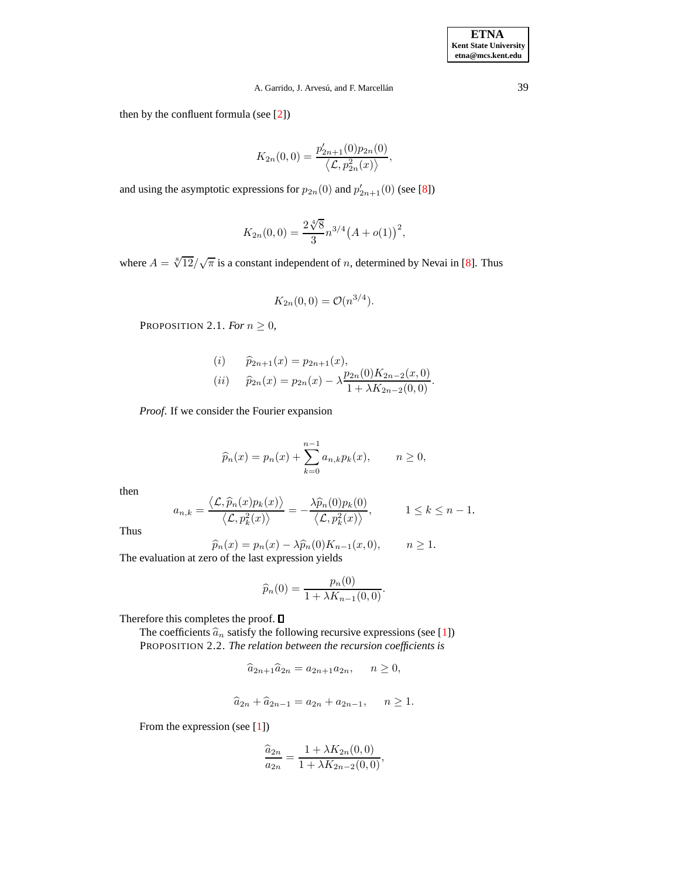**ETNA Kent State University etna@mcs.kent.edu**

# A. Garrido, J. Arvesú, and F. Marcellán<sup>39</sup>

then by the confluent formula (see [\[2\]](#page-10-7))

$$
K_{2n}(0,0) = \frac{p'_{2n+1}(0)p_{2n}(0)}{\langle \mathcal{L}, p_{2n}^2(x) \rangle},
$$

and using the asymptotic expressions for  $p_{2n}(0)$  and  $p'_{2n+1}(0)$  (see [\[8\]](#page-10-8))

$$
K_{2n}(0,0) = \frac{2\sqrt[4]{8}}{3}n^{3/4}(A+o(1))^{2},
$$

where  $A = \sqrt[8]{12}/\sqrt{\pi}$  $A = \sqrt[8]{12}/\sqrt{\pi}$  $A = \sqrt[8]{12}/\sqrt{\pi}$  is a constant independent of n, determined by Nevai in [8]. Thus

$$
K_{2n}(0,0) = \mathcal{O}(n^{3/4}).
$$

PROPOSITION 2.1. *For*  $n \geq 0$ ,

(i) 
$$
\hat{p}_{2n+1}(x) = p_{2n+1}(x),
$$
  
\n(ii)  $\hat{p}_{2n}(x) = p_{2n}(x) - \lambda \frac{p_{2n}(0)K_{2n-2}(x,0)}{1 + \lambda K_{2n-2}(0,0)}.$ 

*Proof*. If we consider the Fourier expansion

$$
\widehat{p}_n(x) = p_n(x) + \sum_{k=0}^{n-1} a_{n,k} p_k(x), \qquad n \ge 0,
$$

then

$$
a_{n,k} = \frac{\langle \mathcal{L}, \widehat{p}_n(x)p_k(x) \rangle}{\langle \mathcal{L}, p_k^2(x) \rangle} = -\frac{\lambda \widehat{p}_n(0)p_k(0)}{\langle \mathcal{L}, p_k^2(x) \rangle}, \qquad 1 \le k \le n-1.
$$

Thus

$$
\widehat{p}_n(x) = p_n(x) - \lambda \widehat{p}_n(0) K_{n-1}(x, 0), \qquad n \ge 1.
$$
  
The evaluation at zero of the last expression yields

$$
\widehat{p}_n(0) = \frac{p_n(0)}{1 + \lambda K_{n-1}(0,0)}.
$$

Therefore this completes the proof.  $\square$ 

The coefficients  $\hat{a}_n$  satisfy the following recursive expressions (see [\[1\]](#page-10-9)) PROPOSITION 2.2. *The relation between the recursion coefficients is*

$$
\widehat{a}_{2n+1}\widehat{a}_{2n} = a_{2n+1}a_{2n}, \quad n \ge 0,
$$

$$
\hat{a}_{2n} + \hat{a}_{2n-1} = a_{2n} + a_{2n-1}, \quad n \ge 1.
$$

From the expression (see [\[1\]](#page-10-9))

$$
\frac{\widehat{a}_{2n}}{a_{2n}} = \frac{1 + \lambda K_{2n}(0,0)}{1 + \lambda K_{2n-2}(0,0)},
$$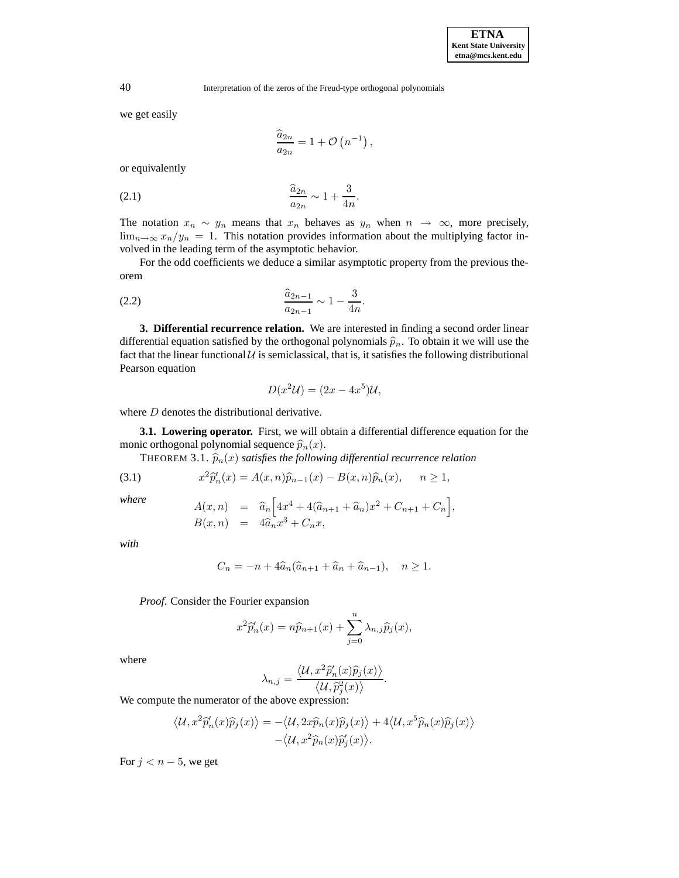we get easily

$$
\frac{\widehat{a}_{2n}}{a_{2n}} = 1 + \mathcal{O}\left(n^{-1}\right),\,
$$

<span id="page-3-0"></span>or equivalently

$$
\frac{\widehat{a}_{2n}}{a_{2n}} \sim 1 + \frac{3}{4n}.
$$

The notation  $x_n \sim y_n$  means that  $x_n$  behaves as  $y_n$  when  $n \to \infty$ , more precisely,  $\lim_{n\to\infty}x_n/y_n = 1$ . This notation provides information about the multiplying factor involved in the leading term of the asymptotic behavior.

<span id="page-3-1"></span>For the odd coefficients we deduce a similar asymptotic property from the previous theorem

(2.2) 
$$
\frac{\widehat{a}_{2n-1}}{a_{2n-1}} \sim 1 - \frac{3}{4n}.
$$

**3. Differential recurrence relation.** We are interested in finding a second order linear differential equation satisfied by the orthogonal polynomials  $\hat{p}_n$ . To obtain it we will use the fact that the linear functional  $U$  is semiclassical, that is, it satisfies the following distributional Pearson equation

$$
D(x^2\mathcal{U}) = (2x - 4x^5)\mathcal{U},
$$

where *D* denotes the distributional derivative.

<span id="page-3-2"></span>**3.1. Lowering operator.** First, we will obtain a differential difference equation for the monic orthogonal polynomial sequence  $\widehat{p}_n(x)$ .

THEOREM 3.1.  $\hat{p}_n(x)$  *satisfies the following differential recurrence relation* 

(3.1) 
$$
x^{2}\hat{p}'_{n}(x) = A(x,n)\hat{p}_{n-1}(x) - B(x,n)\hat{p}_{n}(x), \quad n \ge 1,
$$

h

*where*

$$
A(x,n) = \hat{a}_n \left[ 4x^4 + 4(\hat{a}_{n+1} + \hat{a}_n)x^2 + C_{n+1} + C_n \right],
$$
  
\n
$$
B(x,n) = 4\hat{a}_n x^3 + C_n x,
$$

i

*with*

$$
C_n = -n + 4\widehat{a}_n(\widehat{a}_{n+1} + \widehat{a}_n + \widehat{a}_{n-1}), \quad n \ge 1.
$$

*Proof*. Consider the Fourier expansion

$$
x^{2}\widehat{p}_{n}'(x) = n\widehat{p}_{n+1}(x) + \sum_{j=0}^{n} \lambda_{n,j}\widehat{p}_{j}(x),
$$

where

$$
\lambda_{n,j} = \frac{\langle \mathcal{U}, x^2 \widehat{p}_n'(x) \widehat{p}_j(x) \rangle}{\langle \mathcal{U}, \widehat{p}_j^2(x) \rangle}.
$$

We compute the numerator of the above expression:

$$
\langle \mathcal{U}, x^2 \widehat{p}'_n(x) \widehat{p}_j(x) \rangle = - \langle \mathcal{U}, 2x \widehat{p}_n(x) \widehat{p}_j(x) \rangle + 4 \langle \mathcal{U}, x^5 \widehat{p}_n(x) \widehat{p}_j(x) \rangle - \langle \mathcal{U}, x^2 \widehat{p}_n(x) \widehat{p}'_j(x) \rangle.
$$

For  $j < n - 5$ , we get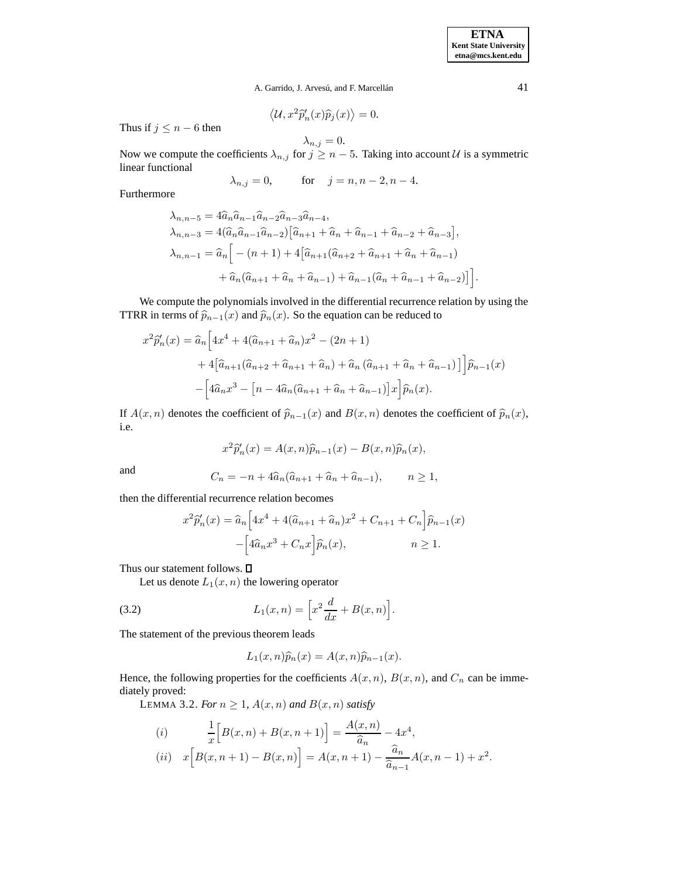**ETNA Kent State University etna@mcs.kent.edu**

A. Garrido, J. Arvesú, and F. Marcellán<sup> 41</sup>

$$
\langle \mathcal{U}, x^2 \widehat{p}_n'(x) \widehat{p}_j(x) \rangle = 0.
$$

Thus if  $j \leq n - 6$  then

 $\lambda_{n,j}=0.$ Now we compute the coefficients  $\lambda_{n,j}$  for  $j \geq n-5$ . Taking into account U is a symmetric linear functional

$$
\lambda_{n,j} = 0,
$$
 for  $j = n, n - 2, n - 4.$ 

Furthermore

$$
\lambda_{n,n-5} = 4\hat{a}_{n}\hat{a}_{n-1}\hat{a}_{n-2}\hat{a}_{n-3}\hat{a}_{n-4},
$$
  
\n
$$
\lambda_{n,n-3} = 4(\hat{a}_{n}\hat{a}_{n-1}\hat{a}_{n-2})[\hat{a}_{n+1} + \hat{a}_{n} + \hat{a}_{n-1} + \hat{a}_{n-2} + \hat{a}_{n-3}],
$$
  
\n
$$
\lambda_{n,n-1} = \hat{a}_{n} \Big[ -(n+1) + 4[\hat{a}_{n+1}(\hat{a}_{n+2} + \hat{a}_{n+1} + \hat{a}_{n} + \hat{a}_{n-1}) + \hat{a}_{n}(\hat{a}_{n+1} + \hat{a}_{n} + \hat{a}_{n-1}) + \hat{a}_{n-1}(\hat{a}_{n} + \hat{a}_{n-1} + \hat{a}_{n-2})] \Big].
$$

We compute the polynomials involved in the differential recurrence relation by using the TTRR in terms of  $\hat{p}_{n-1}(x)$  and  $\hat{p}_n(x)$ . So the equation can be reduced to

$$
x^{2}\widehat{p}'_{n}(x) = \widehat{a}_{n} \Big[ 4x^{4} + 4(\widehat{a}_{n+1} + \widehat{a}_{n})x^{2} - (2n+1) + 4\Big[\widehat{a}_{n+1}(\widehat{a}_{n+2} + \widehat{a}_{n+1} + \widehat{a}_{n}) + \widehat{a}_{n}(\widehat{a}_{n+1} + \widehat{a}_{n} + \widehat{a}_{n-1}) \Big] \Big] \widehat{p}_{n-1}(x) - \Big[ 4\widehat{a}_{n}x^{3} - \Big[n - 4\widehat{a}_{n}(\widehat{a}_{n+1} + \widehat{a}_{n} + \widehat{a}_{n-1})\Big] x \Big] \widehat{p}_{n}(x).
$$

If  $A(x, n)$  denotes the coefficient of  $\hat{p}_{n-1}(x)$  and  $B(x, n)$  denotes the coefficient of  $\hat{p}_n(x)$ , i.e.

$$
x^{2}\widehat{p}_{n}'(x) = A(x,n)\widehat{p}_{n-1}(x) - B(x,n)\widehat{p}_{n}(x),
$$

and 
$$
C_n = -n + 4\widehat{a}_n(\widehat{a}_{n+1} + \widehat{a}_n + \widehat{a}_{n-1}), \qquad n \ge 1,
$$

then the differential recurrence relation becomes

$$
x^{2}\hat{p}'_{n}(x) = \hat{a}_{n} \Big[ 4x^{4} + 4(\hat{a}_{n+1} + \hat{a}_{n})x^{2} + C_{n+1} + C_{n} \Big] \hat{p}_{n-1}(x)
$$

$$
- \Big[ 4\hat{a}_{n}x^{3} + C_{n}x \Big] \hat{p}_{n}(x), \qquad n \ge 1.
$$

Thus our statement follows.  $\square$ 

Let us denote  $L_1(x, n)$  the lowering operator

(3.2) 
$$
L_1(x,n) = \left[ x^2 \frac{d}{dx} + B(x,n) \right].
$$

The statement of the previous theorem leads

<span id="page-4-0"></span>
$$
L_1(x,n)\widehat{p}_n(x) = A(x,n)\widehat{p}_{n-1}(x).
$$

<span id="page-4-1"></span>Hence, the following properties for the coefficients  $A(x, n)$ ,  $B(x, n)$ , and  $C_n$  can be immediately proved:

LEMMA 3.2. *For*  $n \geq 1$ ,  $A(x, n)$  *and*  $B(x, n)$  *satisfy* 

(i) 
$$
\frac{1}{x} \Big[ B(x, n) + B(x, n+1) \Big] = \frac{A(x, n)}{\hat{a}_n} - 4x^4,
$$
  
(ii) 
$$
x \Big[ B(x, n+1) - B(x, n) \Big] = A(x, n+1) - \frac{\hat{a}_n}{\hat{a}_{n-1}} A(x, n-1) + x^2.
$$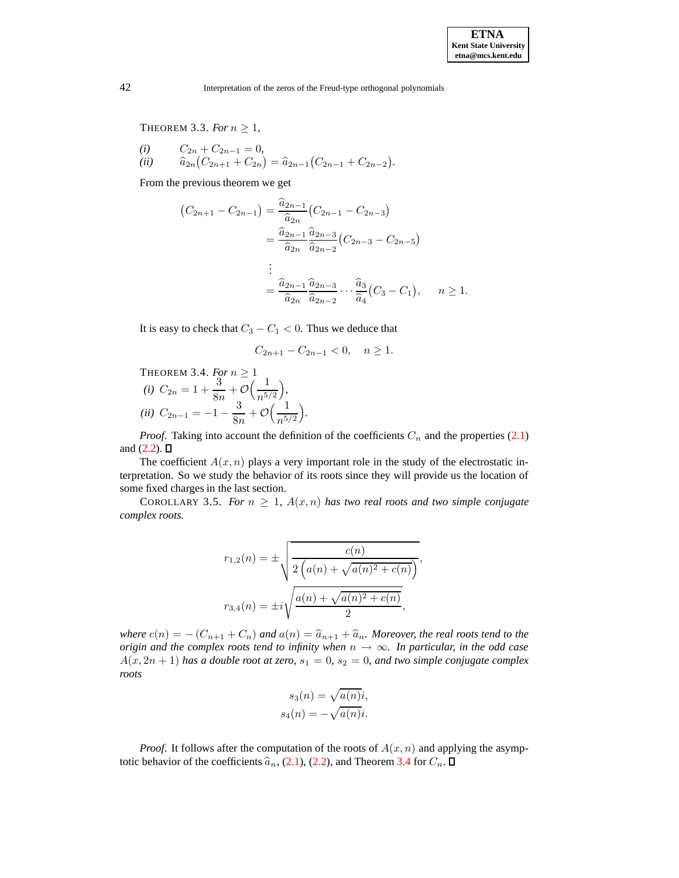THEOREM 3.3. For  $n \geq 1$ ,

(i) 
$$
C_{2n} + C_{2n-1} = 0
$$
,  
(ii)  $\hat{a}_{2n} (C_{2n+1} + C_{2n}) = \hat{a}_{2n-1} (C_{2n-1} + C_{2n-2}).$ 

From the previous theorem we get

$$
(C_{2n+1} - C_{2n-1}) = \frac{\hat{a}_{2n-1}}{\hat{a}_{2n}} (C_{2n-1} - C_{2n-3})
$$
  
=  $\frac{\hat{a}_{2n-1}}{\hat{a}_{2n}} \frac{\hat{a}_{2n-3}}{\hat{a}_{2n-2}} (C_{2n-3} - C_{2n-5})$   
:  
=  $\frac{\hat{a}_{2n-1}}{\hat{a}_{2n}} \frac{\hat{a}_{2n-3}}{\hat{a}_{2n-2}} \cdots \frac{\hat{a}_{3}}{\hat{a}_{4}} (C_{3} - C_{1}), \quad n \ge 1.$ 

It is easy to check that  $C_3 - C_1 < 0$ . Thus we deduce that

$$
C_{2n+1} - C_{2n-1} < 0, \quad n \ge 1.
$$

<span id="page-5-0"></span>THEOREM 3.4. For 
$$
n \ge 1
$$
  
\n(i)  $C_{2n} = 1 + \frac{3}{8n} + \mathcal{O}\left(\frac{1}{n^{5/2}}\right)$ ,  
\n(ii)  $C_{2n-1} = -1 - \frac{3}{8n} + \mathcal{O}\left(\frac{1}{n^{5/2}}\right)$ .

*Proof.* Taking into account the definition of the coefficients  $C_n$  and the properties [\(2.1\)](#page-3-0) and  $(2.2)$ .  $\Box$ 

The coefficient  $A(x, n)$  plays a very important role in the study of the electrostatic interpretation. So we study the behavior of its roots since they will provide us the location of some fixed charges in the last section.

<span id="page-5-1"></span>COROLLARY 3.5. *For*  $n \geq 1$ ,  $A(x, n)$  *has two real roots and two simple conjugate complex roots.*

$$
r_{1,2}(n) = \pm \sqrt{\frac{c(n)}{2\left(a(n) + \sqrt{a(n)^2 + c(n)}\right)}},
$$

$$
r_{3,4}(n) = \pm i\sqrt{\frac{a(n) + \sqrt{a(n)^2 + c(n)}}{2}},
$$

*where*  $c(n) = - (C_{n+1} + C_n)$  *and*  $a(n) = \hat{a}_{n+1} + \hat{a}_n$ *. Moreover, the real roots tend to the origin* and the *complex roots tend to infinity when*  $n \rightarrow \infty$ *. In particular, in the odd case*  $A(x, 2n + 1)$  *has a double root at zero,*  $s_1 = 0$ ,  $s_2 = 0$ *, and two simple conjugate complex roots*

$$
s_3(n) = \sqrt{a(n)}i,
$$
  

$$
s_4(n) = -\sqrt{a(n)}i.
$$

*Proof.* It follows after the computation of the roots of  $A(x, n)$  and applying the asymptotic behavior of the coefficients  $\hat{a}_n$ , [\(2.1\)](#page-3-0), [\(2.2\)](#page-3-1), and Theorem [3.4](#page-5-0) for  $C_n$ .  $\square$ 

<span id="page-5-2"></span>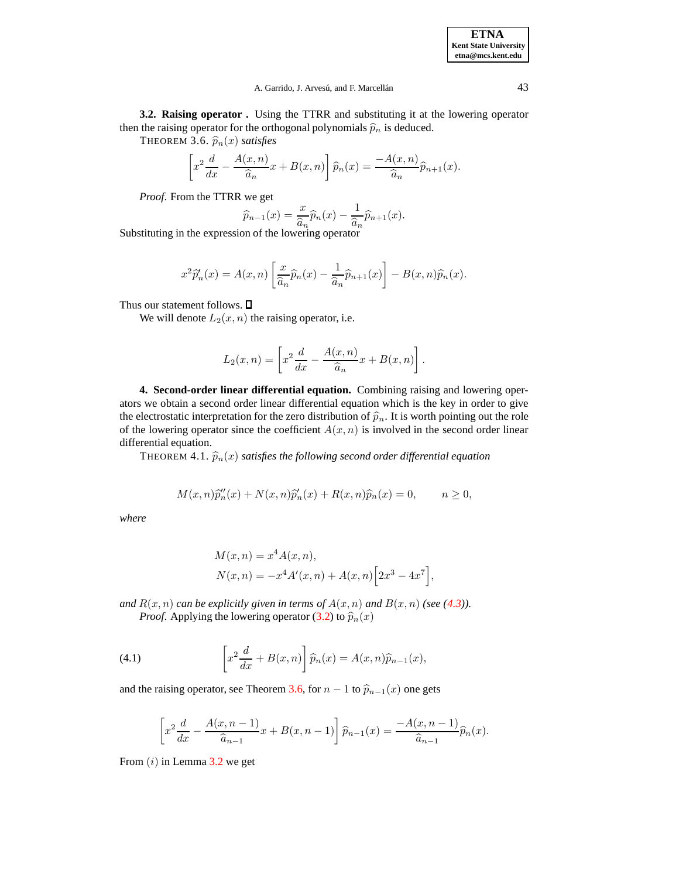#### <span id="page-6-0"></span>A. Garrido, J. Arvesú, and F. Marcellán<sup> 43</sup>

**3.2. Raising operator .** Using the TTRR and substituting it at the lowering operator then the raising operator for the orthogonal polynomials  $\hat{p}_n$  is deduced.

THEOREM 3.6.  $\widehat{p}_n(x)$  *satisfies* 

$$
\[x^2\frac{d}{dx} - \frac{A(x,n)}{\widehat{a}_n}x + B(x,n)\]\widehat{p}_n(x) = \frac{-A(x,n)}{\widehat{a}_n}\widehat{p}_{n+1}(x).
$$

*Proof*. From the TTRR we get

$$
\widehat{p}_{n-1}(x) = \frac{x}{\widehat{a}_n} \widehat{p}_n(x) - \frac{1}{\widehat{a}_n} \widehat{p}_{n+1}(x).
$$

Substituting in the expression of the lowering operator

$$
x^{2}\widehat{p}_{n}'(x) = A(x,n) \left[ \frac{x}{\widehat{a}_{n}} \widehat{p}_{n}(x) - \frac{1}{\widehat{a}_{n}} \widehat{p}_{n+1}(x) \right] - B(x,n)\widehat{p}_{n}(x).
$$

Thus our statement follows.  $\square$ 

We will denote  $L_2(x, n)$  the raising operator, i.e.

$$
L_2(x,n) = \left[ x^2 \frac{d}{dx} - \frac{A(x,n)}{\widehat{a}_n} x + B(x,n) \right].
$$

**4. Second-order linear differential equation.** Combining raising and lowering operators we obtain a second order linear differential equation which is the key in order to give the electrostatic interpretation for the zero distribution of  $\hat{p}_n$ . It is worth pointing out the role of the lowering operator since the coefficient  $A(x, n)$  is involved in the second order linear differential equation.

THEOREM 4.1.  $\widehat{p}_n(x)$  *satisfies the following second order differential equation* 

$$
M(x,n)\widehat{p}_n''(x) + N(x,n)\widehat{p}_n'(x) + R(x,n)\widehat{p}_n(x) = 0, \qquad n \ge 0,
$$

*where*

$$
M(x, n) = x^{4} A(x, n),
$$
  
\n
$$
N(x, n) = -x^{4} A'(x, n) + A(x, n) [2x^{3} - 4x^{7}],
$$

<span id="page-6-1"></span>*and*  $R(x, n)$  *can be explicitly given in terms of*  $A(x, n)$  *and*  $B(x, n)$  *(see* [\(4.3\)](#page-7-0)). *Proof.* Applying the lowering operator [\(3.2\)](#page-4-0) to  $\hat{p}_n(x)$ 

(4.1) 
$$
\left[x^2 \frac{d}{dx} + B(x, n)\right] \widehat{p}_n(x) = A(x, n)\widehat{p}_{n-1}(x),
$$

and the raising operator, see Theorem [3.6,](#page-6-0) for  $n - 1$  to  $\hat{p}_{n-1}(x)$  one gets

$$
\[x^2 \frac{d}{dx} - \frac{A(x, n-1)}{\widehat{a}_{n-1}} x + B(x, n-1)\]\widehat{p}_{n-1}(x) = \frac{-A(x, n-1)}{\widehat{a}_{n-1}} \widehat{p}_n(x).
$$

From  $(i)$  in Lemma [3.2](#page-4-1) we get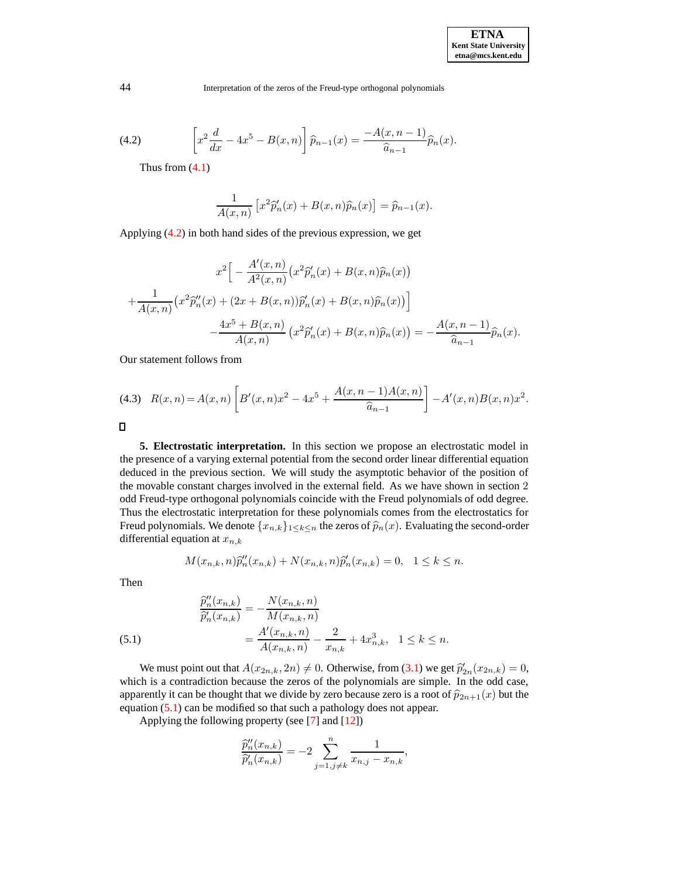(4.2) 
$$
\left[x^2 \frac{d}{dx} - 4x^5 - B(x, n)\right] \hat{p}_{n-1}(x) = \frac{-A(x, n-1)}{\hat{a}_{n-1}} \hat{p}_n(x).
$$

Thus from [\(4.1\)](#page-6-1)

$$
\frac{1}{A(x,n)} \left[ x^2 \hat{p}'_n(x) + B(x,n) \hat{p}_n(x) \right] = \hat{p}_{n-1}(x).
$$

Applying [\(4.2\)](#page-7-1) in both hand sides of the previous expression, we get

$$
x^{2}\Big[-\frac{A'(x,n)}{A^{2}(x,n)}\big(x^{2}\hat{p}'_{n}(x)+B(x,n)\hat{p}_{n}(x)\big) + \frac{1}{A(x,n)}\big(x^{2}\hat{p}''_{n}(x)+(2x+B(x,n))\hat{p}'_{n}(x)+B(x,n)\hat{p}_{n}(x)\big)\Big] - \frac{4x^{5}+B(x,n)}{A(x,n)}\big(x^{2}\hat{p}'_{n}(x)+B(x,n)\hat{p}_{n}(x)\big) = -\frac{A(x,n-1)}{\hat{a}_{n-1}}\hat{p}_{n}(x).
$$

<span id="page-7-0"></span>Our statement follows from

$$
(4.3) \quad R(x,n) = A(x,n) \left[ B'(x,n)x^2 - 4x^5 + \frac{A(x,n-1)A(x,n)}{\hat{a}_{n-1}} \right] - A'(x,n)B(x,n)x^2.
$$

 $\Box$ 

**5. Electrostatic interpretation.** In this section we propose an electrostatic model in the presence of a varying external potential from the second order linear differential equation deduced in the previous section. We will study the asymptotic behavior of the position of the movable constant charges involved in the external field. As we have shown in section 2 odd Freud-type orthogonal polynomials coincide with the Freud polynomials of odd degree. Thus the electrostatic interpretation for these polynomials comes from the electrostatics for Freud polynomials. We denote  $\{x_{n,k}\}_{1\leq k\leq n}$  the zeros of  $\widehat{p}_n(x)$ . Evaluating the second-order differential equation at  $x_{n,k}$ 

$$
M(x_{n,k}, n)\hat{p}_{n}''(x_{n,k}) + N(x_{n,k}, n)\hat{p}_{n}'(x_{n,k}) = 0, \quad 1 \le k \le n.
$$

Then

<span id="page-7-2"></span>(5.1) 
$$
\frac{\widehat{p}_n''(x_{n,k})}{\widehat{p}_n'(x_{n,k})} = -\frac{N(x_{n,k}, n)}{M(x_{n,k}, n)} = \frac{A'(x_{n,k}, n)}{A(x_{n,k}, n)} - \frac{2}{x_{n,k}} + 4x_{n,k}^3, \quad 1 \le k \le n.
$$

We must point out that  $A(x_{2n,k}, 2n) \neq 0$ . Otherwise, from [\(3.1\)](#page-3-2) we get  $\hat{p}'_{2n}(x_{2n,k}) = 0$ , which is a contradiction because the zeros of the polynomials are simple. In the odd case, apparently it can be thought that we divide by zero because zero is a root of  $\hat{p}_{2n+1}(x)$  but the equation [\(5.1\)](#page-7-2) can be modified so that such a pathology does not appear.

Applying the following property (see [\[7\]](#page-10-6) and [\[12\]](#page-10-2))

$$
\frac{\widehat{p}''_n(x_{n,k})}{\widehat{p}'_n(x_{n,k})} = -2 \sum_{j=1, j\neq k}^n \frac{1}{x_{n,j}-x_{n,k}},
$$

<span id="page-7-1"></span>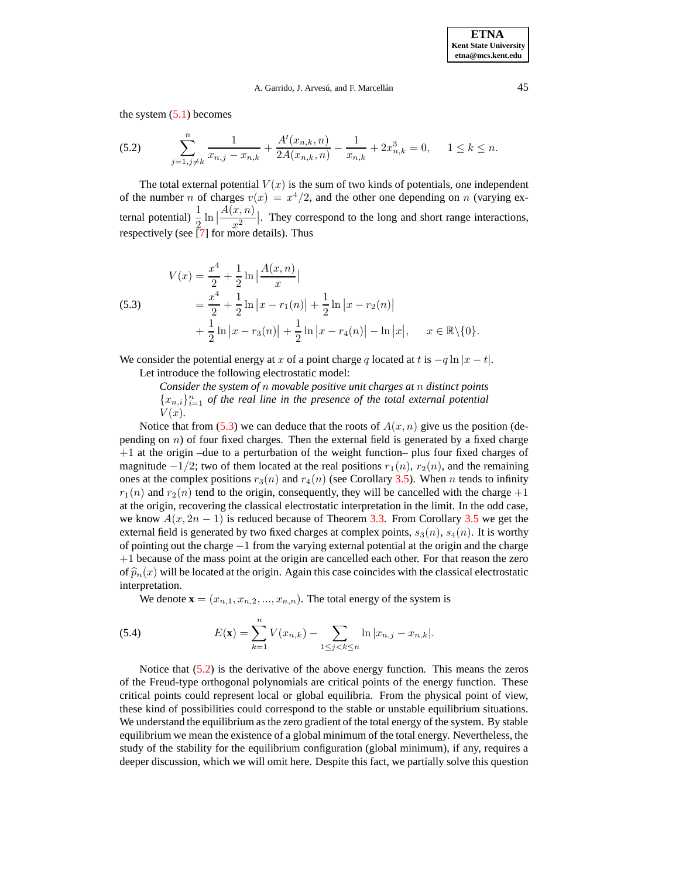#### A. Garrido, J. Arvesú, and F. Marcellán<sup> 45</sup>

<span id="page-8-1"></span>the system  $(5.1)$  becomes

$$
(5.2) \qquad \sum_{j=1,j\neq k}^{n} \frac{1}{x_{n,j} - x_{n,k}} + \frac{A'(x_{n,k}, n)}{2A(x_{n,k}, n)} - \frac{1}{x_{n,k}} + 2x_{n,k}^3 = 0, \qquad 1 \le k \le n.
$$

The total external potential  $V(x)$  is the sum of two kinds of potentials, one independent of the number n of charges  $v(x) = x^4/2$ , and the other one depending on n (varying external potential)  $\frac{1}{2} \ln |\cdot|$  $A(x, n)$  $\frac{x, n_j}{x^2}$ . They correspond to the long and short range interactions, respectively (see [\[7\]](#page-10-6) for more details). Thus

<span id="page-8-0"></span>(5.3) 
$$
V(x) = \frac{x^4}{2} + \frac{1}{2} \ln \left| \frac{A(x, n)}{x} \right|
$$

$$
= \frac{x^4}{2} + \frac{1}{2} \ln \left| x - r_1(n) \right| + \frac{1}{2} \ln \left| x - r_2(n) \right|
$$

$$
+ \frac{1}{2} \ln \left| x - r_3(n) \right| + \frac{1}{2} \ln \left| x - r_4(n) \right| - \ln \left| x \right|, \quad x \in \mathbb{R} \setminus \{0\}.
$$

We consider the potential energy at x of a point charge q located at t is  $-q \ln |x - t|$ . Let introduce the following electrostatic model:

> *Consider the system of* n *movable positive unit charges at* n *distinct points*  ${x_{n,i}}_{i=1}^n$  *of the real line in the presence of the total external potential*  $V(x)$ .

Notice that from [\(5.3\)](#page-8-0) we can deduce that the roots of  $A(x, n)$  give us the position (depending on  $n$ ) of four fixed charges. Then the external field is generated by a fixed charge  $+1$  at the origin –due to a perturbation of the weight function– plus four fixed charges of magnitude  $-1/2$ ; two of them located at the real positions  $r_1(n)$ ,  $r_2(n)$ , and the remaining ones at the complex positions  $r_3(n)$  and  $r_4(n)$  (see Corollary [3.5\)](#page-5-1). When n tends to infinity  $r_1(n)$  and  $r_2(n)$  tend to the origin, consequently, they will be cancelled with the charge  $+1$ at the origin, recovering the classical electrostatic interpretation in the limit. In the odd case, we know  $A(x, 2n - 1)$  is reduced because of Theorem [3.3.](#page-5-2) From Corollary [3.5](#page-5-1) we get the external field is generated by two fixed charges at complex points,  $s_3(n)$ ,  $s_4(n)$ . It is worthy of pointing out the charge −1 from the varying external potential at the origin and the charge +1 because of the mass point at the origin are cancelled each other. For that reason the zero of  $\hat{p}_n(x)$  will be located at the origin. Again this case coincides with the classical electrostatic interpretation.

<span id="page-8-2"></span>We denote  $\mathbf{x} = (x_{n,1}, x_{n,2}, ..., x_{n,n})$ . The total energy of the system is

(5.4) 
$$
E(\mathbf{x}) = \sum_{k=1}^{n} V(x_{n,k}) - \sum_{1 \leq j < k \leq n} \ln |x_{n,j} - x_{n,k}|.
$$

Notice that [\(5.2\)](#page-8-1) is the derivative of the above energy function. This means the zeros of the Freud-type orthogonal polynomials are critical points of the energy function. These critical points could represent local or global equilibria. From the physical point of view, these kind of possibilities could correspond to the stable or unstable equilibrium situations. We understand the equilibrium as the zero gradient of the total energy of the system. By stable equilibrium we mean the existence of a global minimum of the total energy. Nevertheless, the study of the stability for the equilibrium configuration (global minimum), if any, requires a deeper discussion, which we will omit here. Despite this fact, we partially solve this question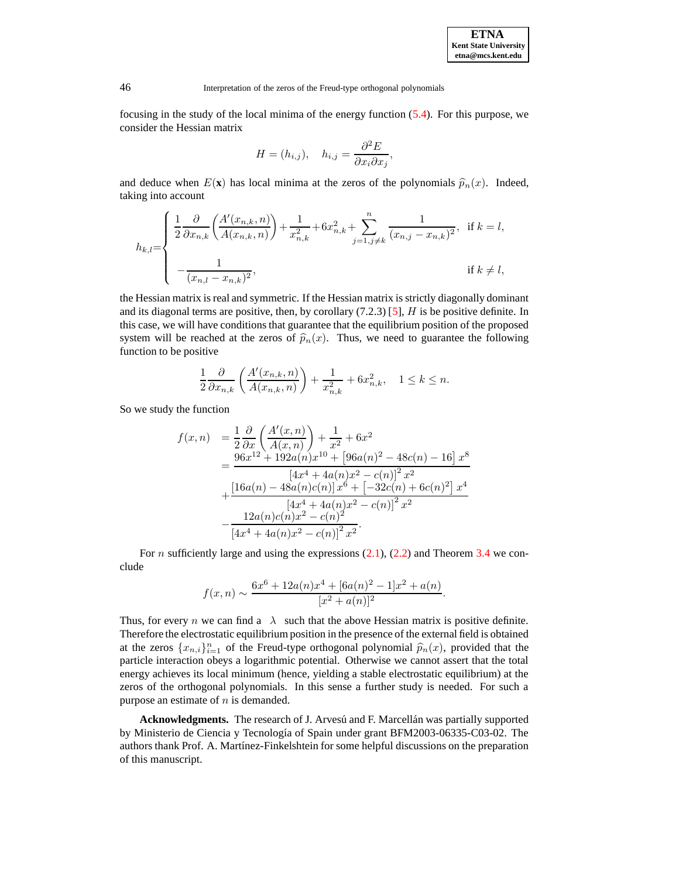**ETNA Kent State University etna@mcs.kent.edu**

46 Interpretation of the zeros of the Freud-type orthogonal polynomials

focusing in the study of the local minima of the energy function [\(5.4\)](#page-8-2). For this purpose, we consider the Hessian matrix

$$
H = (h_{i,j}), \quad h_{i,j} = \frac{\partial^2 E}{\partial x_i \partial x_j},
$$

and deduce when  $E(\mathbf{x})$  has local minima at the zeros of the polynomials  $\hat{p}_n(x)$ . Indeed, taking into account

$$
h_{k,l} = \begin{cases} \frac{1}{2} \frac{\partial}{\partial x_{n,k}} \left( \frac{A'(x_{n,k}, n)}{A(x_{n,k}, n)} \right) + \frac{1}{x_{n,k}^2} + 6x_{n,k}^2 + \sum_{j=1, j \neq k}^n \frac{1}{(x_{n,j} - x_{n,k})^2}, & \text{if } k = l, \\ -\frac{1}{(x_{n,l} - x_{n,k})^2}, & \text{if } k \neq l, \end{cases}
$$

the Hessian matrix is real and symmetric. If the Hessian matrix is strictly diagonally dominant and its diagonal terms are positive, then, by corollary  $(7.2.3)$  [\[5\]](#page-10-10),  $H$  is be positive definite. In this case, we will have conditions that guarantee that the equilibrium position of the proposed system will be reached at the zeros of  $\hat{p}_n(x)$ . Thus, we need to guarantee the following function to be positive

$$
\frac{1}{2}\frac{\partial}{\partial x_{n,k}}\left(\frac{A'(x_{n,k},n)}{A(x_{n,k},n)}\right) + \frac{1}{x_{n,k}^2} + 6x_{n,k}^2, \quad 1 \le k \le n.
$$

So we study the function

$$
f(x,n) = \frac{1}{2} \frac{\partial}{\partial x} \left( \frac{A'(x,n)}{A(x,n)} \right) + \frac{1}{x^2} + 6x^2
$$
  
= 
$$
\frac{96x^{12} + 192a(n)x^{10} + [96a(n)^2 - 48c(n) - 16]x^8}{[4x^4 + 4a(n)x^2 - c(n)]^2 x^2}
$$
  
+ 
$$
\frac{[16a(n) - 48a(n)c(n)]x^6 + [-32c(n) + 6c(n)^2]x^4}{[4x^4 + 4a(n)x^2 - c(n)]^2 x^2}
$$
  
- 
$$
\frac{12a(n)c(n)x^2 - c(n)^2}{[4x^4 + 4a(n)x^2 - c(n)]^2 x^2}.
$$

For *n* sufficiently large and using the expressions  $(2.1)$ ,  $(2.2)$  and Theorem [3.4](#page-5-0) we conclude

$$
f(x,n) \sim \frac{6x^6 + 12a(n)x^4 + [6a(n)^2 - 1]x^2 + a(n)}{[x^2 + a(n)]^2}.
$$

Thus, for every *n* we can find a  $\lambda$  such that the above Hessian matrix is positive definite. Therefore the electrostatic equilibrium position in the presence of the external field is obtained at the zeros  $\{x_{n,i}\}_{i=1}^n$  of the Freud-type orthogonal polynomial  $\hat{p}_n(x)$ , provided that the particle interaction obeys a logarithmic potential. Otherwise we cannot assert that the total energy achieves its local minimum (hence, yielding a stable electrostatic equilibrium) at the zeros of the orthogonal polynomials. In this sense a further study is needed. For such a purpose an estimate of  $n$  is demanded.

Acknowledgments. The research of J. Arvesú and F. Marcellan was partially supported by Ministerio de Ciencia y Tecnología of Spain under grant BFM2003-06335-C03-02. The authors thank Prof. A. Martínez-Finkelshtein for some helpful discussions on the preparation of this manuscript.